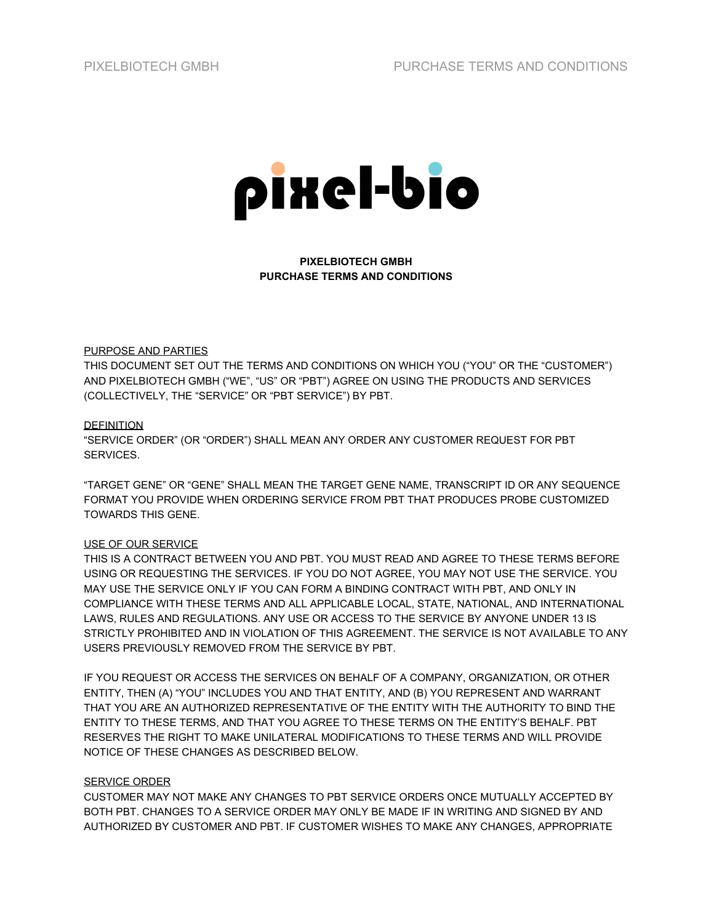

**PIXELBIOTECH GMBH PURCHASE TERMS AND CONDITIONS**

## PURPOSE AND PARTIES

THIS DOCUMENT SET OUT THE TERMS AND CONDITIONS ON WHICH YOU ("YOU" OR THE "CUSTOMER") AND PIXELBIOTECH GMBH ("WE", "US" OR "PBT") AGREE ON USING THE PRODUCTS AND SERVICES (COLLECTIVELY, THE "SERVICE" OR "PBT SERVICE") BY PBT.

#### **DEFINITION**

"SERVICE ORDER" (OR "ORDER") SHALL MEAN ANY ORDER ANY CUSTOMER REQUEST FOR PBT SERVICES.

"TARGET GENE" OR "GENE" SHALL MEAN THE TARGET GENE NAME, TRANSCRIPT ID OR ANY SEQUENCE FORMAT YOU PROVIDE WHEN ORDERING SERVICE FROM PBT THAT PRODUCES PROBE CUSTOMIZED TOWARDS THIS GENE.

## USE OF OUR SERVICE

THIS IS A CONTRACT BETWEEN YOU AND PBT. YOU MUST READ AND AGREE TO THESE TERMS BEFORE USING OR REQUESTING THE SERVICES. IF YOU DO NOT AGREE, YOU MAY NOT USE THE SERVICE. YOU MAY USE THE SERVICE ONLY IF YOU CAN FORM A BINDING CONTRACT WITH PBT, AND ONLY IN COMPLIANCE WITH THESE TERMS AND ALL APPLICABLE LOCAL, STATE, NATIONAL, AND INTERNATIONAL LAWS, RULES AND REGULATIONS. ANY USE OR ACCESS TO THE SERVICE BY ANYONE UNDER 13 IS STRICTLY PROHIBITED AND IN VIOLATION OF THIS AGREEMENT. THE SERVICE IS NOT AVAILABLE TO ANY USERS PREVIOUSLY REMOVED FROM THE SERVICE BY PBT.

IF YOU REQUEST OR ACCESS THE SERVICES ON BEHALF OF A COMPANY, ORGANIZATION, OR OTHER ENTITY, THEN (A) "YOU" INCLUDES YOU AND THAT ENTITY, AND (B) YOU REPRESENT AND WARRANT THAT YOU ARE AN AUTHORIZED REPRESENTATIVE OF THE ENTITY WITH THE AUTHORITY TO BIND THE ENTITY TO THESE TERMS, AND THAT YOU AGREE TO THESE TERMS ON THE ENTITY'S BEHALF. PBT RESERVES THE RIGHT TO MAKE UNILATERAL MODIFICATIONS TO THESE TERMS AND WILL PROVIDE NOTICE OF THESE CHANGES AS DESCRIBED BELOW.

#### SERVICE ORDER

CUSTOMER MAY NOT MAKE ANY CHANGES TO PBT SERVICE ORDERS ONCE MUTUALLY ACCEPTED BY BOTH PBT. CHANGES TO A SERVICE ORDER MAY ONLY BE MADE IF IN WRITING AND SIGNED BY AND AUTHORIZED BY CUSTOMER AND PBT. IF CUSTOMER WISHES TO MAKE ANY CHANGES, APPROPRIATE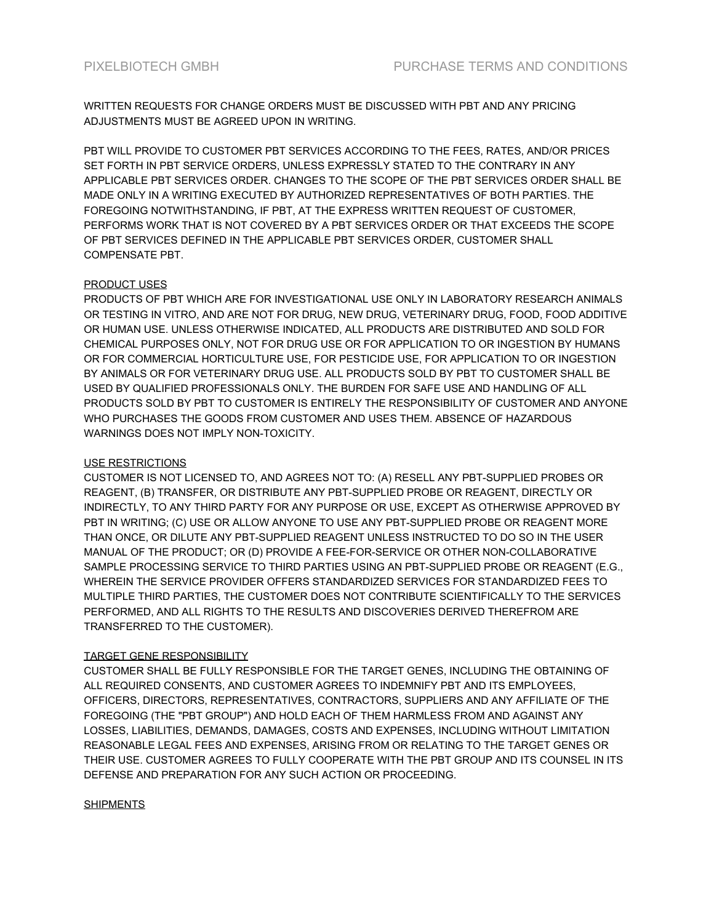WRITTEN REQUESTS FOR CHANGE ORDERS MUST BE DISCUSSED WITH PBT AND ANY PRICING ADJUSTMENTS MUST BE AGREED UPON IN WRITING.

PBT WILL PROVIDE TO CUSTOMER PBT SERVICES ACCORDING TO THE FEES, RATES, AND/OR PRICES SET FORTH IN PBT SERVICE ORDERS, UNLESS EXPRESSLY STATED TO THE CONTRARY IN ANY APPLICABLE PBT SERVICES ORDER. CHANGES TO THE SCOPE OF THE PBT SERVICES ORDER SHALL BE MADE ONLY IN A WRITING EXECUTED BY AUTHORIZED REPRESENTATIVES OF BOTH PARTIES. THE FOREGOING NOTWITHSTANDING, IF PBT, AT THE EXPRESS WRITTEN REQUEST OF CUSTOMER, PERFORMS WORK THAT IS NOT COVERED BY A PBT SERVICES ORDER OR THAT EXCEEDS THE SCOPE OF PBT SERVICES DEFINED IN THE APPLICABLE PBT SERVICES ORDER, CUSTOMER SHALL COMPENSATE PBT.

## PRODUCT USES

PRODUCTS OF PBT WHICH ARE FOR INVESTIGATIONAL USE ONLY IN LABORATORY RESEARCH ANIMALS OR TESTING IN VITRO, AND ARE NOT FOR DRUG, NEW DRUG, VETERINARY DRUG, FOOD, FOOD ADDITIVE OR HUMAN USE. UNLESS OTHERWISE INDICATED, ALL PRODUCTS ARE DISTRIBUTED AND SOLD FOR CHEMICAL PURPOSES ONLY, NOT FOR DRUG USE OR FOR APPLICATION TO OR INGESTION BY HUMANS OR FOR COMMERCIAL HORTICULTURE USE, FOR PESTICIDE USE, FOR APPLICATION TO OR INGESTION BY ANIMALS OR FOR VETERINARY DRUG USE. ALL PRODUCTS SOLD BY PBT TO CUSTOMER SHALL BE USED BY QUALIFIED PROFESSIONALS ONLY. THE BURDEN FOR SAFE USE AND HANDLING OF ALL PRODUCTS SOLD BY PBT TO CUSTOMER IS ENTIRELY THE RESPONSIBILITY OF CUSTOMER AND ANYONE WHO PURCHASES THE GOODS FROM CUSTOMER AND USES THEM. ABSENCE OF HAZARDOUS WARNINGS DOES NOT IMPLY NON-TOXICITY.

# USE RESTRICTIONS

CUSTOMER IS NOT LICENSED TO, AND AGREES NOT TO: (A) RESELL ANY PBT-SUPPLIED PROBES OR REAGENT, (B) TRANSFER, OR DISTRIBUTE ANY PBT-SUPPLIED PROBE OR REAGENT, DIRECTLY OR INDIRECTLY, TO ANY THIRD PARTY FOR ANY PURPOSE OR USE, EXCEPT AS OTHERWISE APPROVED BY PBT IN WRITING; (C) USE OR ALLOW ANYONE TO USE ANY PBT-SUPPLIED PROBE OR REAGENT MORE THAN ONCE, OR DILUTE ANY PBT-SUPPLIED REAGENT UNLESS INSTRUCTED TO DO SO IN THE USER MANUAL OF THE PRODUCT; OR (D) PROVIDE A FEE-FOR-SERVICE OR OTHER NON-COLLABORATIVE SAMPLE PROCESSING SERVICE TO THIRD PARTIES USING AN PBT-SUPPLIED PROBE OR REAGENT (E.G., WHEREIN THE SERVICE PROVIDER OFFERS STANDARDIZED SERVICES FOR STANDARDIZED FEES TO MULTIPLE THIRD PARTIES, THE CUSTOMER DOES NOT CONTRIBUTE SCIENTIFICALLY TO THE SERVICES PERFORMED, AND ALL RIGHTS TO THE RESULTS AND DISCOVERIES DERIVED THEREFROM ARE TRANSFERRED TO THE CUSTOMER).

## TARGET GENE RESPONSIBILITY

CUSTOMER SHALL BE FULLY RESPONSIBLE FOR THE TARGET GENES, INCLUDING THE OBTAINING OF ALL REQUIRED CONSENTS, AND CUSTOMER AGREES TO INDEMNIFY PBT AND ITS EMPLOYEES, OFFICERS, DIRECTORS, REPRESENTATIVES, CONTRACTORS, SUPPLIERS AND ANY AFFILIATE OF THE FOREGOING (THE "PBT GROUP") AND HOLD EACH OF THEM HARMLESS FROM AND AGAINST ANY LOSSES, LIABILITIES, DEMANDS, DAMAGES, COSTS AND EXPENSES, INCLUDING WITHOUT LIMITATION REASONABLE LEGAL FEES AND EXPENSES, ARISING FROM OR RELATING TO THE TARGET GENES OR THEIR USE. CUSTOMER AGREES TO FULLY COOPERATE WITH THE PBT GROUP AND ITS COUNSEL IN ITS DEFENSE AND PREPARATION FOR ANY SUCH ACTION OR PROCEEDING.

## **SHIPMENTS**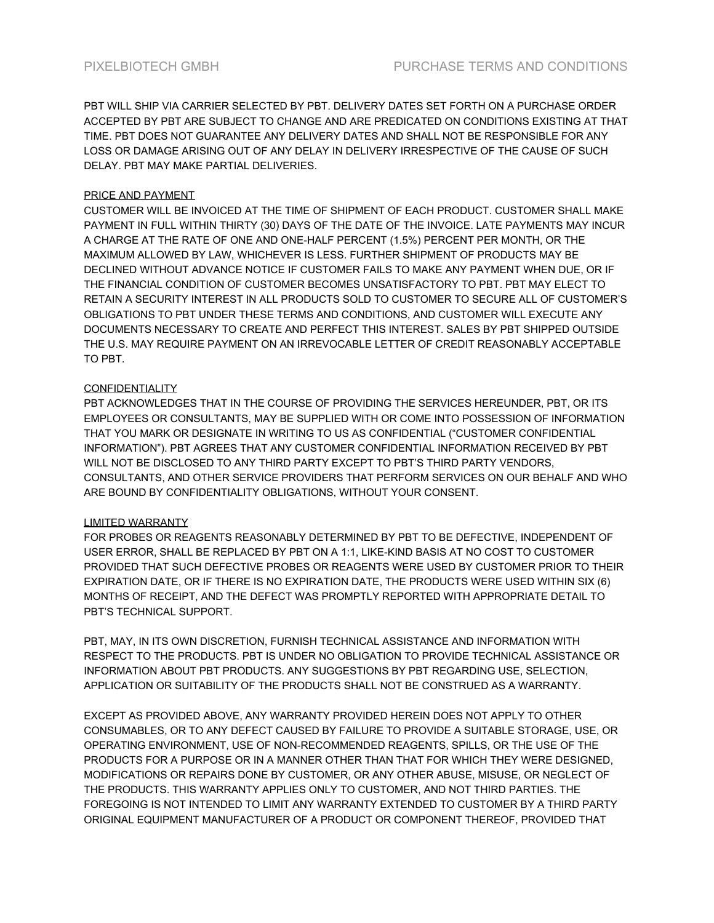PBT WILL SHIP VIA CARRIER SELECTED BY PBT. DELIVERY DATES SET FORTH ON A PURCHASE ORDER ACCEPTED BY PBT ARE SUBJECT TO CHANGE AND ARE PREDICATED ON CONDITIONS EXISTING AT THAT TIME. PBT DOES NOT GUARANTEE ANY DELIVERY DATES AND SHALL NOT BE RESPONSIBLE FOR ANY LOSS OR DAMAGE ARISING OUT OF ANY DELAY IN DELIVERY IRRESPECTIVE OF THE CAUSE OF SUCH DELAY. PBT MAY MAKE PARTIAL DELIVERIES.

# PRICE AND PAYMENT

CUSTOMER WILL BE INVOICED AT THE TIME OF SHIPMENT OF EACH PRODUCT. CUSTOMER SHALL MAKE PAYMENT IN FULL WITHIN THIRTY (30) DAYS OF THE DATE OF THE INVOICE. LATE PAYMENTS MAY INCUR A CHARGE AT THE RATE OF ONE AND ONE-HALF PERCENT (1.5%) PERCENT PER MONTH, OR THE MAXIMUM ALLOWED BY LAW, WHICHEVER IS LESS. FURTHER SHIPMENT OF PRODUCTS MAY BE DECLINED WITHOUT ADVANCE NOTICE IF CUSTOMER FAILS TO MAKE ANY PAYMENT WHEN DUE, OR IF THE FINANCIAL CONDITION OF CUSTOMER BECOMES UNSATISFACTORY TO PBT. PBT MAY ELECT TO RETAIN A SECURITY INTEREST IN ALL PRODUCTS SOLD TO CUSTOMER TO SECURE ALL OF CUSTOMER'S OBLIGATIONS TO PBT UNDER THESE TERMS AND CONDITIONS, AND CUSTOMER WILL EXECUTE ANY DOCUMENTS NECESSARY TO CREATE AND PERFECT THIS INTEREST. SALES BY PBT SHIPPED OUTSIDE THE U.S. MAY REQUIRE PAYMENT ON AN IRREVOCABLE LETTER OF CREDIT REASONABLY ACCEPTABLE TO PBT.

# **CONFIDENTIALITY**

PBT ACKNOWLEDGES THAT IN THE COURSE OF PROVIDING THE SERVICES HEREUNDER, PBT, OR ITS EMPLOYEES OR CONSULTANTS, MAY BE SUPPLIED WITH OR COME INTO POSSESSION OF INFORMATION THAT YOU MARK OR DESIGNATE IN WRITING TO US AS CONFIDENTIAL ("CUSTOMER CONFIDENTIAL INFORMATION"). PBT AGREES THAT ANY CUSTOMER CONFIDENTIAL INFORMATION RECEIVED BY PBT WILL NOT BE DISCLOSED TO ANY THIRD PARTY EXCEPT TO PBT'S THIRD PARTY VENDORS, CONSULTANTS, AND OTHER SERVICE PROVIDERS THAT PERFORM SERVICES ON OUR BEHALF AND WHO ARE BOUND BY CONFIDENTIALITY OBLIGATIONS, WITHOUT YOUR CONSENT.

## LIMITED WARRANTY

FOR PROBES OR REAGENTS REASONABLY DETERMINED BY PBT TO BE DEFECTIVE, INDEPENDENT OF USER ERROR, SHALL BE REPLACED BY PBT ON A 1:1, LIKE-KIND BASIS AT NO COST TO CUSTOMER PROVIDED THAT SUCH DEFECTIVE PROBES OR REAGENTS WERE USED BY CUSTOMER PRIOR TO THEIR EXPIRATION DATE, OR IF THERE IS NO EXPIRATION DATE, THE PRODUCTS WERE USED WITHIN SIX (6) MONTHS OF RECEIPT, AND THE DEFECT WAS PROMPTLY REPORTED WITH APPROPRIATE DETAIL TO PBT'S TECHNICAL SUPPORT.

PBT, MAY, IN ITS OWN DISCRETION, FURNISH TECHNICAL ASSISTANCE AND INFORMATION WITH RESPECT TO THE PRODUCTS. PBT IS UNDER NO OBLIGATION TO PROVIDE TECHNICAL ASSISTANCE OR INFORMATION ABOUT PBT PRODUCTS. ANY SUGGESTIONS BY PBT REGARDING USE, SELECTION, APPLICATION OR SUITABILITY OF THE PRODUCTS SHALL NOT BE CONSTRUED AS A WARRANTY.

EXCEPT AS PROVIDED ABOVE, ANY WARRANTY PROVIDED HEREIN DOES NOT APPLY TO OTHER CONSUMABLES, OR TO ANY DEFECT CAUSED BY FAILURE TO PROVIDE A SUITABLE STORAGE, USE, OR OPERATING ENVIRONMENT, USE OF NON-RECOMMENDED REAGENTS, SPILLS, OR THE USE OF THE PRODUCTS FOR A PURPOSE OR IN A MANNER OTHER THAN THAT FOR WHICH THEY WERE DESIGNED, MODIFICATIONS OR REPAIRS DONE BY CUSTOMER, OR ANY OTHER ABUSE, MISUSE, OR NEGLECT OF THE PRODUCTS. THIS WARRANTY APPLIES ONLY TO CUSTOMER, AND NOT THIRD PARTIES. THE FOREGOING IS NOT INTENDED TO LIMIT ANY WARRANTY EXTENDED TO CUSTOMER BY A THIRD PARTY ORIGINAL EQUIPMENT MANUFACTURER OF A PRODUCT OR COMPONENT THEREOF, PROVIDED THAT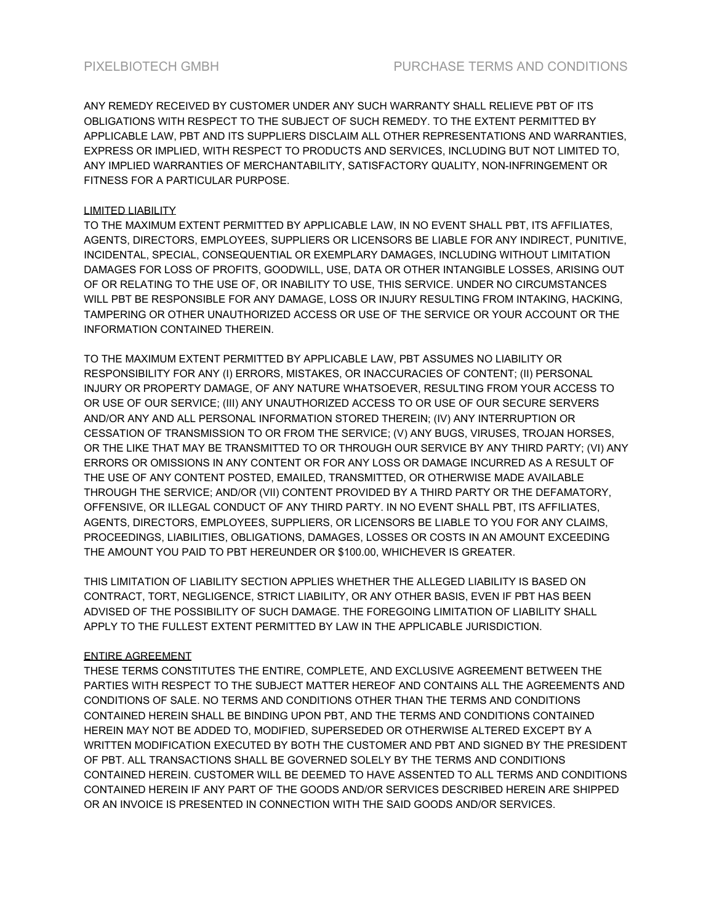ANY REMEDY RECEIVED BY CUSTOMER UNDER ANY SUCH WARRANTY SHALL RELIEVE PBT OF ITS OBLIGATIONS WITH RESPECT TO THE SUBJECT OF SUCH REMEDY. TO THE EXTENT PERMITTED BY APPLICABLE LAW, PBT AND ITS SUPPLIERS DISCLAIM ALL OTHER REPRESENTATIONS AND WARRANTIES, EXPRESS OR IMPLIED, WITH RESPECT TO PRODUCTS AND SERVICES, INCLUDING BUT NOT LIMITED TO, ANY IMPLIED WARRANTIES OF MERCHANTABILITY, SATISFACTORY QUALITY, NON-INFRINGEMENT OR FITNESS FOR A PARTICULAR PURPOSE.

## LIMITED LIABILITY

TO THE MAXIMUM EXTENT PERMITTED BY APPLICABLE LAW, IN NO EVENT SHALL PBT, ITS AFFILIATES, AGENTS, DIRECTORS, EMPLOYEES, SUPPLIERS OR LICENSORS BE LIABLE FOR ANY INDIRECT, PUNITIVE, INCIDENTAL, SPECIAL, CONSEQUENTIAL OR EXEMPLARY DAMAGES, INCLUDING WITHOUT LIMITATION DAMAGES FOR LOSS OF PROFITS, GOODWILL, USE, DATA OR OTHER INTANGIBLE LOSSES, ARISING OUT OF OR RELATING TO THE USE OF, OR INABILITY TO USE, THIS SERVICE. UNDER NO CIRCUMSTANCES WILL PBT BE RESPONSIBLE FOR ANY DAMAGE, LOSS OR INJURY RESULTING FROM INTAKING, HACKING, TAMPERING OR OTHER UNAUTHORIZED ACCESS OR USE OF THE SERVICE OR YOUR ACCOUNT OR THE INFORMATION CONTAINED THEREIN.

TO THE MAXIMUM EXTENT PERMITTED BY APPLICABLE LAW, PBT ASSUMES NO LIABILITY OR RESPONSIBILITY FOR ANY (I) ERRORS, MISTAKES, OR INACCURACIES OF CONTENT; (II) PERSONAL INJURY OR PROPERTY DAMAGE, OF ANY NATURE WHATSOEVER, RESULTING FROM YOUR ACCESS TO OR USE OF OUR SERVICE; (III) ANY UNAUTHORIZED ACCESS TO OR USE OF OUR SECURE SERVERS AND/OR ANY AND ALL PERSONAL INFORMATION STORED THEREIN; (IV) ANY INTERRUPTION OR CESSATION OF TRANSMISSION TO OR FROM THE SERVICE; (V) ANY BUGS, VIRUSES, TROJAN HORSES, OR THE LIKE THAT MAY BE TRANSMITTED TO OR THROUGH OUR SERVICE BY ANY THIRD PARTY; (VI) ANY ERRORS OR OMISSIONS IN ANY CONTENT OR FOR ANY LOSS OR DAMAGE INCURRED AS A RESULT OF THE USE OF ANY CONTENT POSTED, EMAILED, TRANSMITTED, OR OTHERWISE MADE AVAILABLE THROUGH THE SERVICE; AND/OR (VII) CONTENT PROVIDED BY A THIRD PARTY OR THE DEFAMATORY, OFFENSIVE, OR ILLEGAL CONDUCT OF ANY THIRD PARTY. IN NO EVENT SHALL PBT, ITS AFFILIATES, AGENTS, DIRECTORS, EMPLOYEES, SUPPLIERS, OR LICENSORS BE LIABLE TO YOU FOR ANY CLAIMS, PROCEEDINGS, LIABILITIES, OBLIGATIONS, DAMAGES, LOSSES OR COSTS IN AN AMOUNT EXCEEDING THE AMOUNT YOU PAID TO PBT HEREUNDER OR \$100.00, WHICHEVER IS GREATER.

THIS LIMITATION OF LIABILITY SECTION APPLIES WHETHER THE ALLEGED LIABILITY IS BASED ON CONTRACT, TORT, NEGLIGENCE, STRICT LIABILITY, OR ANY OTHER BASIS, EVEN IF PBT HAS BEEN ADVISED OF THE POSSIBILITY OF SUCH DAMAGE. THE FOREGOING LIMITATION OF LIABILITY SHALL APPLY TO THE FULLEST EXTENT PERMITTED BY LAW IN THE APPLICABLE JURISDICTION.

## ENTIRE AGREEMENT

THESE TERMS CONSTITUTES THE ENTIRE, COMPLETE, AND EXCLUSIVE AGREEMENT BETWEEN THE PARTIES WITH RESPECT TO THE SUBJECT MATTER HEREOF AND CONTAINS ALL THE AGREEMENTS AND CONDITIONS OF SALE. NO TERMS AND CONDITIONS OTHER THAN THE TERMS AND CONDITIONS CONTAINED HEREIN SHALL BE BINDING UPON PBT, AND THE TERMS AND CONDITIONS CONTAINED HEREIN MAY NOT BE ADDED TO, MODIFIED, SUPERSEDED OR OTHERWISE ALTERED EXCEPT BY A WRITTEN MODIFICATION EXECUTED BY BOTH THE CUSTOMER AND PBT AND SIGNED BY THE PRESIDENT OF PBT. ALL TRANSACTIONS SHALL BE GOVERNED SOLELY BY THE TERMS AND CONDITIONS CONTAINED HEREIN. CUSTOMER WILL BE DEEMED TO HAVE ASSENTED TO ALL TERMS AND CONDITIONS CONTAINED HEREIN IF ANY PART OF THE GOODS AND/OR SERVICES DESCRIBED HEREIN ARE SHIPPED OR AN INVOICE IS PRESENTED IN CONNECTION WITH THE SAID GOODS AND/OR SERVICES.